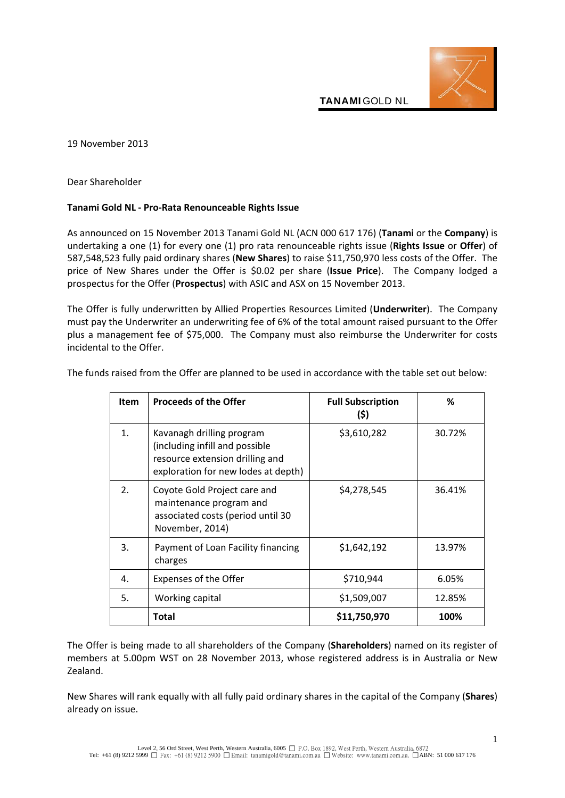

19 November 2013

Dear Shareholder

## **Tanami Gold NL - Pro-Rata Renounceable Rights Issue**

As announced on 15 November 2013 Tanami Gold NL (ACN 000 617 176) (**Tanami** or the **Company**) is undertaking a one (1) for every one (1) pro rata renounceable rights issue (**Rights Issue** or **Offer**) of 587,548,523 fully paid ordinary shares (**New Shares**) to raise \$11,750,970 less costs of the Offer. The price of New Shares under the Offer is \$0.02 per share (**Issue Price**). The Company lodged a prospectus for the Offer (**Prospectus**) with ASIC and ASX on 15 November 2013.

The Offer is fully underwritten by Allied Properties Resources Limited (**Underwriter**). The Company must pay the Underwriter an underwriting fee of 6% of the total amount raised pursuant to the Offer plus a management fee of \$75,000. The Company must also reimburse the Underwriter for costs incidental to the Offer.

| <b>Item</b> | <b>Proceeds of the Offer</b>                                                                                                          | <b>Full Subscription</b><br>(\$) | ℅      |
|-------------|---------------------------------------------------------------------------------------------------------------------------------------|----------------------------------|--------|
| 1.          | Kavanagh drilling program<br>(including infill and possible<br>resource extension drilling and<br>exploration for new lodes at depth) | \$3,610,282                      | 30.72% |
| 2.          | Coyote Gold Project care and<br>maintenance program and<br>associated costs (period until 30<br>November, 2014)                       | \$4,278,545                      | 36.41% |
| 3.          | Payment of Loan Facility financing<br>charges                                                                                         | \$1,642,192                      | 13.97% |
| 4.          | <b>Expenses of the Offer</b>                                                                                                          | \$710,944                        | 6.05%  |
| 5.          | Working capital                                                                                                                       | \$1,509,007                      | 12.85% |
|             | Total                                                                                                                                 | \$11,750,970                     | 100%   |

The funds raised from the Offer are planned to be used in accordance with the table set out below:

The Offer is being made to all shareholders of the Company (**Shareholders**) named on its register of members at 5.00pm WST on 28 November 2013, whose registered address is in Australia or New Zealand.

New Shares will rank equally with all fully paid ordinary shares in the capital of the Company (**Shares**) already on issue.